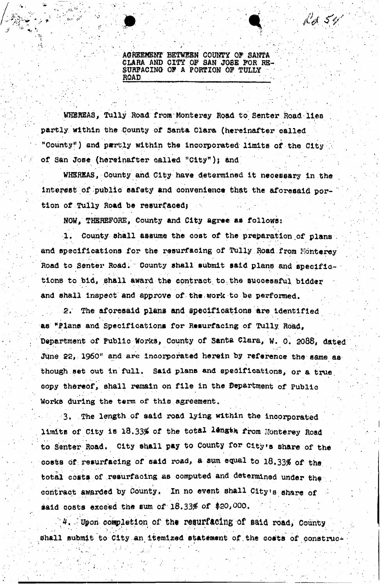**AGREEMENT BETWfiBN COUNTY OP SANTA GLARA AND CITY OF SAN JOSE PGR RE-SURFACING OF A PORTION OF TULLY ROAD . . • : /** 

 $\mathcal{F}^{\mathcal{A}}$  . For a set of the set of the set of the set of the set of the set of the set of the set of the set of the set of the set of the set of the set of the set of the set of the set of the set of the set of the

. .. . . .

Bel 54'

 $\ddot{\phantom{1}}$ 

WHEREAS, Tully Road from Monterey Road to Senter Road lies partly within the County of Santa Clara (hereinafter called "County") and partly within the incorporated limits of the City of San Jose (hereinafter sailed "City )j and

WHSREAS, County and City have determined it necessary in the interest of public safety and convenience that the aforesaid portion of Tully Road be resurfaced;

NOW, **THEREFORE,** County and City agree as follows:

1. County shall assume the cost of the preparation of plans. and specifications for the resurfacing of Tully Road from Monterey Road to Senter Road. County shall submit said plans and specifictions to bid, shall award the contract to the successful bidder and shall inspect and approve of the work to be perfomed.

2. The aforesaid **plana** and specifications are identified as \*Flans and Specifications for Resurfacing of Tully Road, Department of Public Works, County of Santa Clara, W. 0. 2088, dated June 22, I960" and **are** incorporated herein by reference the same as though set out in full. Said plans and specifications, or a true copy thereof, shall remain on file in the department of Public Works during the term of this agreement.

3. The length of said road lying within the incorporated limits of City is 18.33% of the total length from Nonterey Road to Senter Road. City shall pay to County for City's share of the costs of: resurfacing of said road, a sym equal to 18.33% of the total costs of resurfacing as computed and determined under the contract awarded by County. In no event shall City's share of said costs exceed the sum of  $18.33\%$  of \$20,000.

|<br>|-

 $4.$  Upon completion of the resurfacing of said road, County shall submit to City an itemized statement of the costs of construc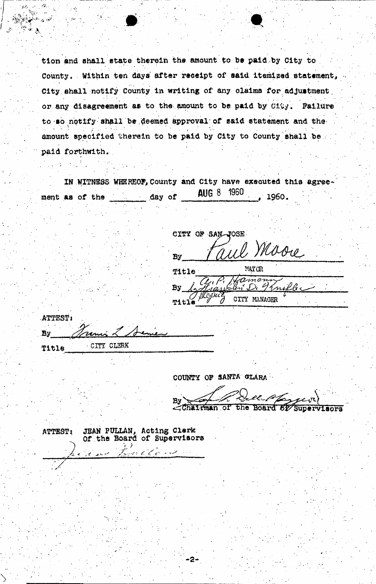tion and shall state therein the amount to be paid by City to County. Within ten days after receipt of said itemized statement, City shall notify County in writing of any claims for adjustment or any disagreement as to the amount to be paid by City. Failure to so notify shall be deemed approval of said statement and the amount specified therein to be paid by City to County shall be paid forthwith.

IN NITNESS WHEREOF, County and City have executed this agree-**AUG 8 1960** ment as of the day of 1960.

CITY OF SAN-JOSE

Maore **By** MAYOR Title By k.fr CITY MANAGER 'N Title

| ATTEST: |              |
|---------|--------------|
| By      | Jamie 2 18   |
| 用くれるめ   | - CITY CLERK |

COUNTY OF SANTA GLARA

-2

Ma, By Chairman of the Board 82 Supervisors

JEAN PULLAN, Acting Clerk ATTEST: Of the Board of Supervisors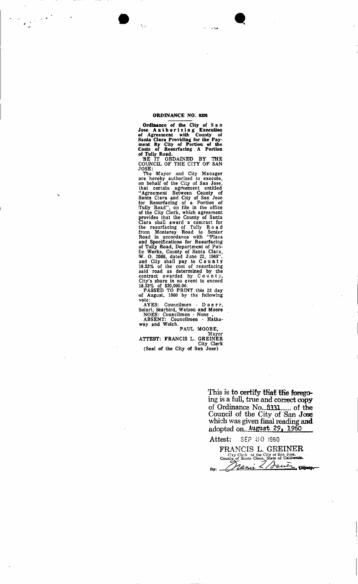## **ORDINANCE NO. 8331**

فيرد

 $\frac{1}{2}$ 

**Ordinance of the City of Sa n Jose Authorizin g Execution of Agreement with County of**  Santa Clara Providing for the Pay**meat By City of Portion of the Costs of Resurfacing A Portion of Tully Road.** 

BE IT ORDAINED BY THE COUNCIL OF THE CITY OF SAN JOSE:

The Mayor and City Manager are hereby authorized to execute, on behalf of the City of San Jose, that certain agreement entitled "Agreement Between County of Santa Clara and City of San Jose for Resurfacing of a Portion of Tully Road", on file in the office of the City Clerk, which agreement provides that the County of Santa Clara shall award a contract for the resurfacing of Tully Roa d from Monterey Road to Senter Road in accordance with "Plans and Specifications for Resurfacing of Tully Road, Department of Public Works, County of Santa Clara, >W, 0. 2088, dated June 22, 1960", and City shall pay to Count y 18.33% of the cost of resurfacing said road as determined by the contract awarded by  $County$ , City's share in no event to exceed 18.33% of \$20,000.00.

PASSED TO PRINT this 22 day of August, 1960 by the following vote:

AYES: Councilmen - D o e r r, Solari, Starbird, Watson and Moore NOES: Councilmen - None ,

ABSENT: Councilmen - Hathaway and Welch.

PAUL MOORE, Mayor

ATTEST: FRANCIS L. GREINER City Clerk (Seal of the City of San Jose)

> This is to certify that the forego**ing is a full, true and correct copy**  of Ordinance No. 8331 ... of the **Council of the City of San Jose which was given final reading and adopted** on.. **August 2?, I960**

**Attest:** SEP **80 1960** 

**FRANCIS L. GREINER**  C:ty Clerk of the City ot San Jose, . County of Santa Clara, State of **California. fly:**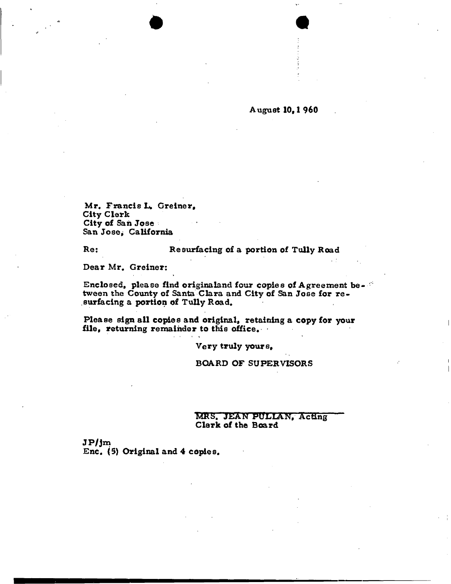## **August I0<sup>V</sup> 1 960**

Mr. Francis L. Greiner, **City Clerk City of San Jose San Jose; California** 

## **Re: Resurfacing of a portion of Tully Road**

**Dear Mr. Greiner:** 

**Enclosed, please find originaland four copies of Agreement between the County of Santa Clara and City of San Jose for re surfacing a portion of Tully Road.** 

**Please sign all copies and original, retaining a copy for your file, returning remainder to this office.**  1 As a straightful contract of the contract of the contract of

**Very truly yours,** 

**BOARD OF SUPERVISORS** 

**MRS , JEA N PULLAN , Acting Clerk of the Board** 

 $JP/jm$ **Enc. (5) Original and 4 copies.**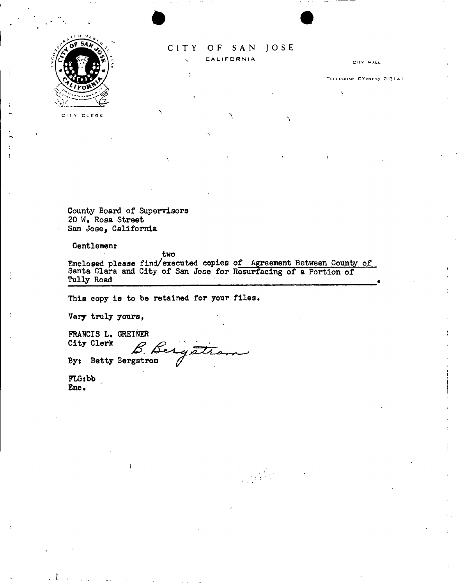

## CITY OF SAN JOSE **CALIFORNIA**

CITY HALL

TELEPHONE CYPRESS 2-3141

Ň

C ' T Y CLEP K

**County Board of Supervisors**  *20* **W . Rosa Street San Jose, California** 

**Gentlemenr** 

**two** 

**Enclosed please find/executed copies of Agreement Between County of Santa Clara and City of San Jose for Resurfacing of a Portion of Tully Road** 

**This copy is to be retained for your files.** 

**Very truly yours,** 

**FRANCIS L. OREINER City Clerk**  City Clerk **B.** Besquite

**FLGibb Enc.**